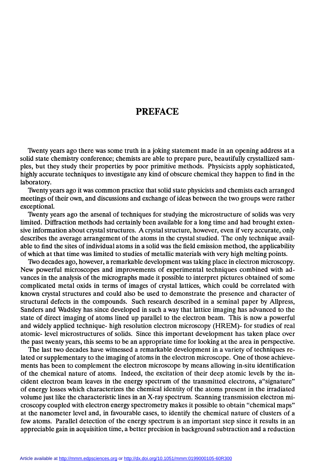## PREFACE

Twenty years ago there was some truth in a joking statement made in an opening address at a solid state chemistry conference; chemists are able to prepare pure, beautifully crystallized samples, but they study their properties by poor primitive methods. Physicists apply sophisticated, highly accurate techniques to investigate any kind of obscure chemical they happen to find in the laboratory.

1Bventy years ago it was common practice that solid state physicists and chemists each arranged meetings of their own, and discussions and exchange of ideas between the two groups were rather exceptional.

Twenty years ago the arsenal of techniques for studying the microstructure of solids was very limited. Diffraction methods had certainly been available for a long time and had brought extensive information about crystal structures. A crystal structure, however, even if very accurate, only describes the average arrangement of the atoms in the crystal studied. The only technique available to find the sites of individual atoms in a solid was the field emission method, the applicability of which at that time was limited to studies of metallic materials with very high melting points.

Two decades ago, however, a remarkable development was taking place in electron microscopy. New powerful microscopes and improvements of experimental techniques combined with advances in the analysis of the micrographs made it possible to interpret pictures obtained of some complicated metal oxids in terms of images of crystal lattices, which could be correlated with known crystal structures and could also be used to demonstrate the presence and character of structural defects in the compounds. Such research described in a seminal paper by Allpress, Sanders and Wadsley has since developed in such a way that lattice imaging has advanced to the state of direct imaging of atoms lined up parallel to the electron beam. This is now a powerful and widely applied technique- high resolution electron microscopy (HREM)- for studies of real atomic- level microstructures of solids. Since this important development has taken place over the past twenty years, this seems to be an appropriate time for looking at the area in perspective.

The last two decades have witnessed a remarkable development in a variety of techniques related or supplementary to the imaging of atoms in the electron microscope. One of those achievements has been to complement the electron microscope by means allowing in-situ identification of the chemical nature of atoms. Indeed, the excitation of their deep atomic levels by the incident electron beam leaves in the energy spectrum of the transmitted electrons, a"signature" of energy losses which characterizes the chemical identity of the atoms present in the irradiated volume just like the characteristic lines in an X-ray spectrum. Scanning transmission electron microscopy coupled with electron energy spectrometry makes it possible to obtain "chemical maps" at the nanometer level and, in favourable cases, to identify the chemical nature of clusters of a few atoms. Parallel detection of the energy spectrum is an important step since it results in an appreciable gain in acquisition time, a better precision in background subtraction and a reduction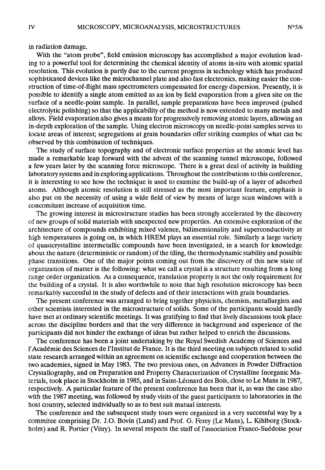in radiation damage.

With the "atom probe", field emission microscopy has accomplished a major evolution leading to a powerful tool for determining the chemical identity of atoms in-situ with atomic spatial resolution. This evolution is partly due to the current progress in technology which has produced sophisticated devices like the microchannel plate and also fast electronics, making easier the construction of time-of-flight mass spectrometers compensated for energy dispersion. Presently, it is possible to identify a single atom emitted as an ion by field evaporation from a given site on the surface of a needle-point sample. In parallel, sample preparations have been improved (pulsed electrolytic polishing) so that the applicability of the method is now extended to many metals and alloys. Field evaporation also gives a means for progressively removing atomic layers, allowing an in-depth exploration of the sample. Using electron microscopy on needle-point samples serves to locate areas of interest; segregations at grain boundaries offer striking examples of what can be observed by this combination of techniques.

The study of surface topography and of electronic surface properties at the atomic level has made a remarkable leap forward with the advent of the scanning tunnel microscope, followed a few years later by the scanning force microscope. There is a great deal of activity in building laboratory systems and in exploring applications. Throughout the contributions to this conference, it is interesting to see how the technique is used to examine the build-up of a layer of adsorbed atoms. Although atomic resolution is still stressed as the most important feature, emphasis is also put on the necessity of using a wide field of view by means of large scan windows with a concomitant increase of acquisition time.

The growing interest in microstructure studies has been strongly accelerated by the discovery of new groups of solid materials with unexpected new properties. An extensive exploration of the architecture of compounds exhibiting mixed valence, bidimensionality and superconductivity at high temperatures is going on, in which HREM plays an essential role. Similarly a large variety of quasicrystalline intermetallic compounds have been investigated, in a search for knowledge about the nature (deterministic or random) of the tiling, the thermodynamic stability and possible phase transitions. One of the major points coming out from the discovery of this new state of organization of matter is the following: what we call a crystal is a structure resulting from a long range order organization. As a consequence, translation property is not the only requirement for the building of a crystal. It is also worthwhile to note that high resolution microscopy has been remarkably successful in the study of defects and of their interactions with grain boundaries.

The present conference was arranged to bring together physicists, chemists, metallurgists and other scientists interested in the microstructure of solids. Some of the participants would hardly have met at ordinary scientific meetings. It was gratifying to find that lively discussions took place across the discipline borders and that the very difference in background and experience of the participants did not hinder the exchange of ideas but rather helped to enrich the discussions.

The conference has been a joint undertaking by the Royal Swedish Academy of Sciences and l'Académie des Sciences de l'Institut de France. It is the third meeting on subjects related to solid state research arranged within an agreement on scientific exchange and cooperation between the two academies, signed in May 1983. The two previous ones, on Advances in Powder Diffraction Crystallography, and on Preparation and Property Characterization of Crystalline Inorganic Materials, took place in Stockholm in 1985, and in Saint-Léonard des Bois, close to Le Mans in 1987, respectively. A particular feature of the present conference has been that it, as was the case also with the 1987 meeting, was followed by study visits of the guest participants to laboratories in the host country, selected individually so as to best suit mutual interests.

The conference and the subsequent study tours were organized in a very successful way by a commitee comprising Dr. J.O. Bovin (Lund) and Prof. G. Ferey (Le Mans), L. Kihlborg (Stockholm) and R. Portier (Vitry). In several respects the staff of l'association Franco-Suédoise pour